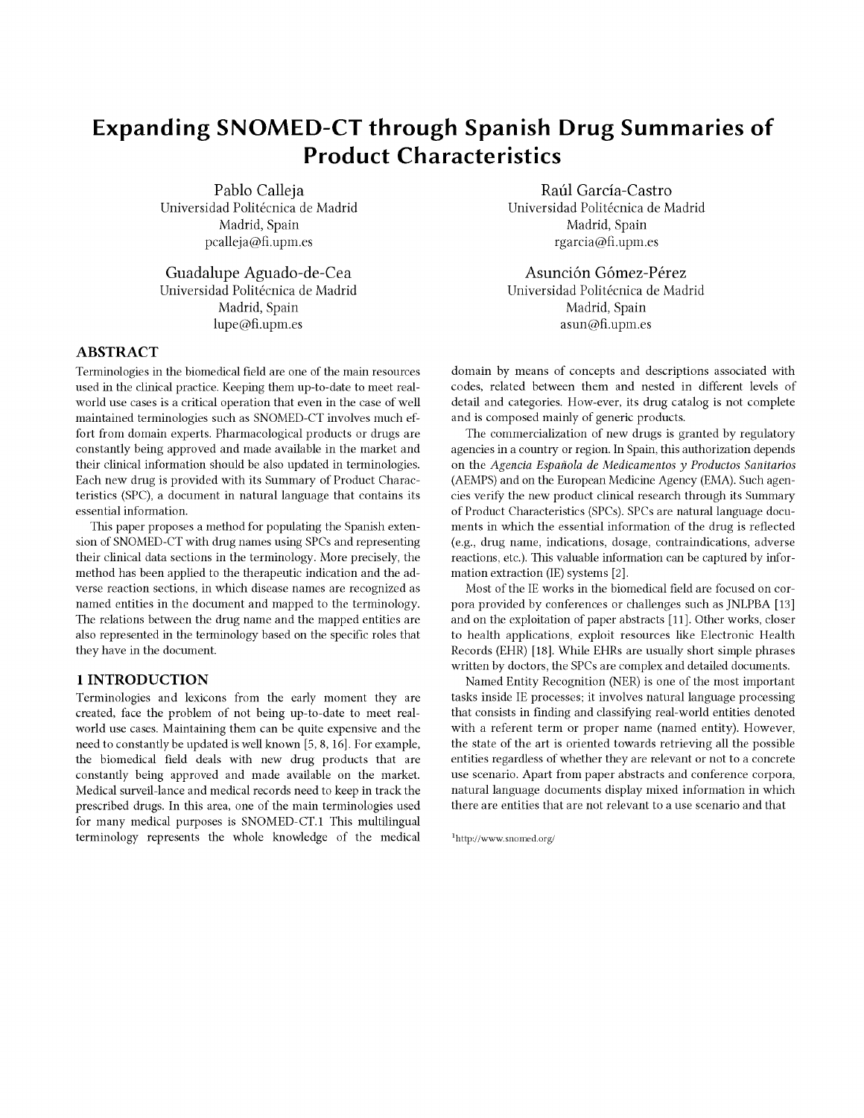# Expanding SNOMED-CT through Spanish Drug Summaries of Product Characteristics

Pablo Calleja Universidad Politécnica de Madrid Madrid, Spain pcalleja@f.upm.es

Guadalupe Aguado-de-Cea Universidad Politécnica de Madrid Madrid, Spain lupe@f.upm.es

# ABSTRACT

Terminologies in the biomedical field are one of the main resources used in the clinical practice. Keeping them up-to-date to meet realworld use cases is a critical operation that even in the case of well maintained terminologies such as SNOMED-CT involves much effort from domain experts. Pharmacological products or drugs are constantly being approved and made available in the market and their clinical information should be also updated in terminologies. Each new drug is provided with its Summary of Product Characteristics (SPC), a document in natural language that contains its essential information.

This paper proposes a method for populating the Spanish extension of SNOMED-CT with drug names using SPCs and representing their clinical data sections in the terminology. More precisely, the method has been applied to the therapeutic indication and the adverse reaction sections, in which disease names are recognized as named entities in the document and mapped to the terminology. The relations between the drug name and the mapped entities are also represented in the terminology based on the specific roles that they have in the document.

## **1 INTRODUCTION**

Terminologies and lexicons from the early moment they are created, face the problem of not being up-to-date to meet realworld use cases. Maintaining them can be quite expensive and the need to constantly be updated is well known [5, 8, 16]. For example, the biomedical field deals with new drug products that are constantly being approved and made available on the market. Medical surveil-lance and medical records need to keep in track the prescribed drugs. In this area, one of the main terminologies used for many medical purposes is SNOMED-CT.1 This multilingual terminology represents the whole knowledge of the medical

Raúl García-Castro Universidad Politécnica de Madrid Madrid, Spain rgarcia@f.upm.es

Asunción Gómez-Pérez Universidad Politécnica de Madrid Madrid, Spain asun@f.upm.es

domain by means of concepts and descriptions associated with codes, related between them and nested in different levels of detail and categories. How-ever, its drug catalog is not complete and is composed mainly of generic products.

The commercialization of new drugs is granted by regulatory agencies in a country or region. In Spain, this authorization depends on the Agencia Española de Medicamentos y Productos Sanitarios (AEMPS) and on the European Medicine Agency (EMA). Such agencies verify the new product clinical research through its Summary of Product Characteristics (SPCs). SPCs are natural language documents in which the essential information of the drug is reflected (e.g., drug name, indications, dosage, contraindications, adverse reactions, etc.). This valuable information can be captured by information extraction (IE) systems [2].

Most of the IE works in the biomedical field are focused on corpora provided by conferences or challenges such as JNLPBA [13] and on the exploitation of paper abstracts [11]. Other works, closer to health applications, exploit resources like Electronic Health Records (EHR) [18]. While EHRs are usually short simple phrases written by doctors, the SPCs are complex and detailed documents.

Named Entity Recognition (NER) is one of the most important tasks inside IE processes; it involves natural language processing that consists in finding and classifying real-world entities denoted with a referent term or proper name (named entity). However, the state of the art is oriented towards retrieving all the possible entities regardless of whether they are relevant or not to a concrete use scenario. Apart from paper abstracts and conference corpora, natural language documents display mixed information in which there are entities that are not relevant to a use scenario and that

1 http://www.snomed.org/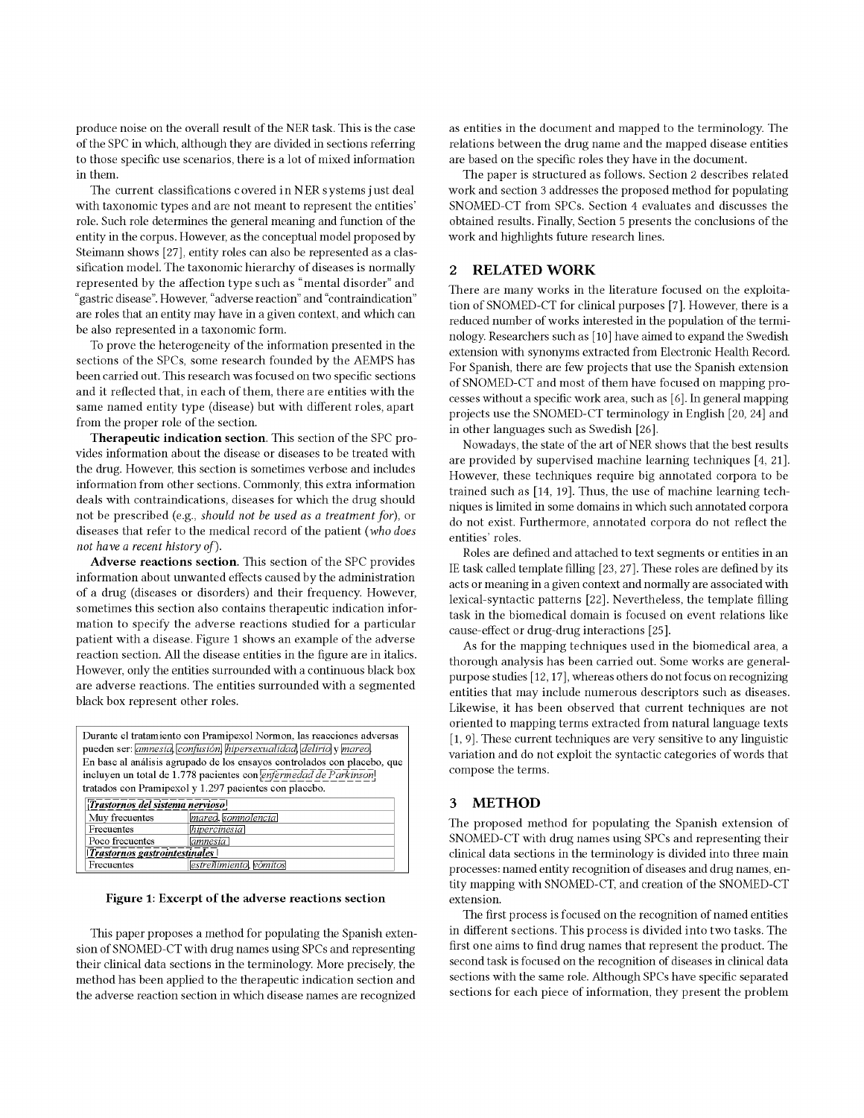produce noise on the overall result of the NER task. This is the case of the SPC in which, although they are divided in sections referring to those specific use scenarios, there is a lot of mixed information in them.

The current classifications covered in NER systems just deal with taxonomic types and are not meant to represent the entities' role. Such role determines the general meaning and function of the entity in the corpus. However, as the conceptual model proposed by Steimann shows [27], entity roles can also be represented as a classification model. The taxonomic hierarchy of diseases is normally represented by the affection type such as "mental disorder" and "gastric disease". However, "adverse reaction" and "contraindication" are roles that an entity may have in a given context, and which can be also represented in a taxonomic form.

To prove the heterogeneity of the information presented in the sections of the SPCs, some research founded by the AEMPS has been carried out. This research was focused on two specific sections and it reflected that, in each of them, there are entities with the same named entity type (disease) but with different roles, apart from the proper role of the section.

**Therapeutic indication section.** This section of the SPC provides information about the disease or diseases to be treated with the drug. However, this section is sometimes verbose and includes information from other sections. Commonly, this extra information deals with contraindications, diseases for which the drug should not be prescribed (e.g., *should not be used as a treatment for),* or diseases that refer to the medical record of the patient *(who does not have a recent history of).* 

**Adverse reactions section.** This section of the SPC provides information about unwanted effects caused by the administration of a drug (diseases or disorders) and their frequency. However, sometimes this section also contains therapeutic indication information to specify the adverse reactions studied for a particular patient with a disease. Figure 1 shows an example of the adverse reaction section. All the disease entities in the figure are in italics. However, only the entities surrounded with a continuous black box are adverse reactions. The entities surrounded with a segmented black box represent other roles.

|                                 | Durante el tratamiento con Pramipexol Normon, las reacciones adversas<br>pueden ser: <i>amnesia</i> , <i>confusión</i> , <i>hipersexualidad</i> , <i>delirio</i> y <i>mareo</i> , |
|---------------------------------|-----------------------------------------------------------------------------------------------------------------------------------------------------------------------------------|
|                                 | En base al análisis agrupado de los ensayos controlados con placebo, que                                                                                                          |
|                                 | incluyen un total de 1.778 pacientes con <i>enfermedad de Parkinson</i> !                                                                                                         |
|                                 | tratados con Pramipexol y 1.297 pacientes con placebo.                                                                                                                            |
| Trastornos del sistema nervioso |                                                                                                                                                                                   |
| Muy frecuentes                  | mareo, somnolencia                                                                                                                                                                |
| Frecuentes                      | hipercinesia                                                                                                                                                                      |
| Poco frecuentes                 | amnesia                                                                                                                                                                           |
| Trastornos gastrointestinales   |                                                                                                                                                                                   |
| Frecuentes                      | estreñimiento, vómitos                                                                                                                                                            |

**Figure 1: Excerpt of the adverse reactions section** 

This paper proposes a method for populating the Spanish extension of SNOMED-CT with drug names using SPCs and representing their clinical data sections in the terminology. More precisely, the method has been applied to the therapeutic indication section and the adverse reaction section in which disease names are recognized

as entities in the document and mapped to the terminology. The relations between the drug name and the mapped disease entities are based on the specific roles they have in the document.

The paper is structured as follows. Section 2 describes related work and section 3 addresses the proposed method for populating SNOMED-CT from SPCs. Section 4 evaluates and discusses the obtained results. Finally, Section 5 presents the conclusions of the work and highlights future research lines.

## 2 RELATED WORK

There are many works in the literature focused on the exploitation of SNOMED-CT for clinical purposes [7]. However, there is a reduced number of works interested in the population of the terminology. Researchers such as [10] have aimed to expand the Swedish extension with synonyms extracted from Electronic Health Record. For Spanish, there are few projects that use the Spanish extension of SNOMED-CT and most of them have focused on mapping processes without a specific work area, such as [6]. In general mapping projects use the SNOMED-CT terminology in English [20, 24] and in other languages such as Swedish [26].

Nowadays, the state of the art of NER shows that the best results are provided by supervised machine learning techniques [4, 21]. However, these techniques require big annotated corpora to be trained such as [14, 19]. Thus, the use of machine learning techniques is limited in some domains in which such annotated corpora do not exist. Furthermore, annotated corpora do not reflect the entities' roles.

Roles are defined and attached to text segments or entities in an IE task called template filling [23, 27]. These roles are defined by its acts or meaning in a given context and normally are associated with lexical-syntactic patterns [22]. Nevertheless, the template filling task in the biomedical domain is focused on event relations like cause-effect or drug-drug interactions [25].

As for the mapping techniques used in the biomedical area, a thorough analysis has been carried out. Some works are generalpurpose studies [12,17], whereas others do not focus on recognizing entities that may include numerous descriptors such as diseases. Likewise, it has been observed that current techniques are not oriented to mapping terms extracted from natural language texts [1, 9]. These current techniques are very sensitive to any linguistic variation and do not exploit the syntactic categories of words that compose the terms.

#### 3 METHOD

The proposed method for populating the Spanish extension of SNOMED-CT with drug names using SPCs and representing their clinical data sections in the terminology is divided into three main processes: named entity recognition of diseases and drug names, entity mapping with SNOMED-CT, and creation of the SNOMED-CT extension.

The first process is focused on the recognition of named entities in different sections. This process is divided into two tasks. The first one aims to find drug names that represent the product. The second task is focused on the recognition of diseases in clinical data sections with the same role. Although SPCs have specific separated sections for each piece of information, they present the problem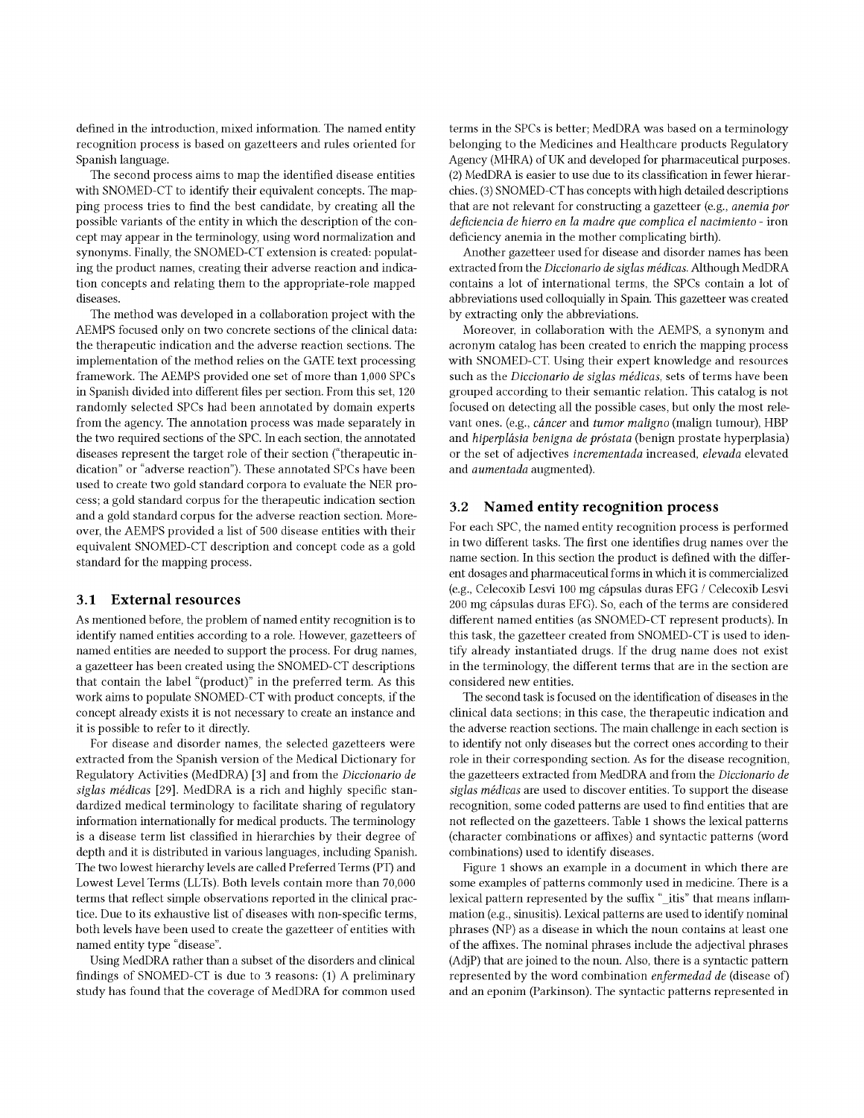defned in the introduction, mixed information. The named entity recognition process is based on gazetteers and rules oriented for Spanish language.

The second process aims to map the identifed disease entities with SNOMED-CT to identify their equivalent concepts. The mapping process tries to fnd the best candidate, by creating all the possible variants of the entity in which the description of the concept may appear in the terminology, using word normalization and synonyms. Finally, the SNOMED-CT extension is created: populating the product names, creating their adverse reaction and indication concepts and relating them to the appropriate-role mapped diseases.

The method was developed in a collaboration project with the AEMPS focused only on two concrete sections of the clinical data: the therapeutic indication and the adverse reaction sections. The implementation of the method relies on the GATE text processing framework. The AEMPS provided one set of more than 1,000 SPCs in Spanish divided into diferent fles per section. From this set, 120 randomly selected SPCs had been annotated by domain experts from the agency. The annotation process was made separately in the two required sections of the SPC. In each section, the annotated diseases represent the target role of their section ("therapeutic indication" or "adverse reaction"). These annotated SPCs have been used to create two gold standard corpora to evaluate the NER process; a gold standard corpus for the therapeutic indication section and a gold standard corpus for the adverse reaction section. Moreover, the AEMPS provided a list of 500 disease entities with their equivalent SNOMED-CT description and concept code as a gold standard for the mapping process.

#### 3.1 External resources

As mentioned before, the problem of named entity recognition is to identify named entities according to a role. However, gazetteers of named entities are needed to support the process. For drug names, a gazetteer has been created using the SNOMED-CT descriptions that contain the label "(product)" in the preferred term. As this work aims to populate SNOMED-CT with product concepts, if the concept already exists it is not necessary to create an instance and it is possible to refer to it directly.

For disease and disorder names, the selected gazetteers were extracted from the Spanish version of the Medical Dictionary for Regulatory Activities (MedDRA) [3] and from the Diccionario de siglas médicas [29]. MedDRA is a rich and highly specifc standardized medical terminology to facilitate sharing of regulatory information internationally for medical products. The terminology is a disease term list classifed in hierarchies by their degree of depth and it is distributed in various languages, including Spanish. The two lowest hierarchy levels are called Preferred Terms (PT) and Lowest Level Terms (LLTs). Both levels contain more than 70,000 terms that refect simple observations reported in the clinical practice. Due to its exhaustive list of diseases with non-specifc terms, both levels have been used to create the gazetteer of entities with named entity type "disease".

Using MedDRA rather than a subset of the disorders and clinical fndings of SNOMED-CT is due to 3 reasons: (1) A preliminary study has found that the coverage of MedDRA for common used

terms in the SPCs is better; MedDRA was based on a terminology belonging to the Medicines and Healthcare products Regulatory Agency (MHRA) of UK and developed for pharmaceutical purposes. (2) MedDRA is easier to use due to its classifcation in fewer hierarchies. (3) SNOMED-CT has concepts with high detailed descriptions that are not relevant for constructing a gazetteer (e.g., anemia por defciencia de hierro en la madre que complica el nacimiento - iron deficiency anemia in the mother complicating birth).

Another gazetteer used for disease and disorder names has been extracted from the Diccionario de siglas médicas. Although MedDRA contains a lot of international terms, the SPCs contain a lot of abbreviations used colloquially in Spain. This gazetteer was created by extracting only the abbreviations.

Moreover, in collaboration with the AEMPS, a synonym and acronym catalog has been created to enrich the mapping process with SNOMED-CT. Using their expert knowledge and resources such as the Diccionario de siglas médicas, sets of terms have been grouped according to their semantic relation. This catalog is not focused on detecting all the possible cases, but only the most relevant ones. (e.g., cáncer and tumor maligno (malign tumour), HBP and hiperplásia benigna de próstata (benign prostate hyperplasia) or the set of adjectives incrementada increased, elevada elevated and aumentada augmented).

# 3.2 Named entity recognition process

For each SPC, the named entity recognition process is performed in two diferent tasks. The frst one identifes drug names over the name section. In this section the product is defned with the diferent dosages and pharmaceutical forms in which it is commercialized (e.g., Celecoxib Lesvi 100 mg cápsulas duras EFG / Celecoxib Lesvi 200 mg cápsulas duras EFG). So, each of the terms are considered diferent named entities (as SNOMED-CT represent products). In this task, the gazetteer created from SNOMED-CT is used to identify already instantiated drugs. If the drug name does not exist in the terminology, the diferent terms that are in the section are considered new entities.

The second task is focused on the identifcation of diseases in the clinical data sections; in this case, the therapeutic indication and the adverse reaction sections. The main challenge in each section is to identify not only diseases but the correct ones according to their role in their corresponding section. As for the disease recognition, the gazetteers extracted from MedDRA and from the Diccionario de siglas médicas are used to discover entities. To support the disease recognition, some coded patterns are used to fnd entities that are not refected on the gazetteers. Table 1 shows the lexical patterns (character combinations or affixes) and syntactic patterns (word combinations) used to identify diseases.

Figure 1 shows an example in a document in which there are some examples of patterns commonly used in medicine. There is a lexical pattern represented by the suffix "\_itis" that means inflammation (e.g., sinusitis). Lexical patterns are used to identify nominal phrases (NP) as a disease in which the noun contains at least one of the affixes. The nominal phrases include the adjectival phrases (AdjP) that are joined to the noun. Also, there is a syntactic pattern represented by the word combination enfermedad de (disease of) and an eponim (Parkinson). The syntactic patterns represented in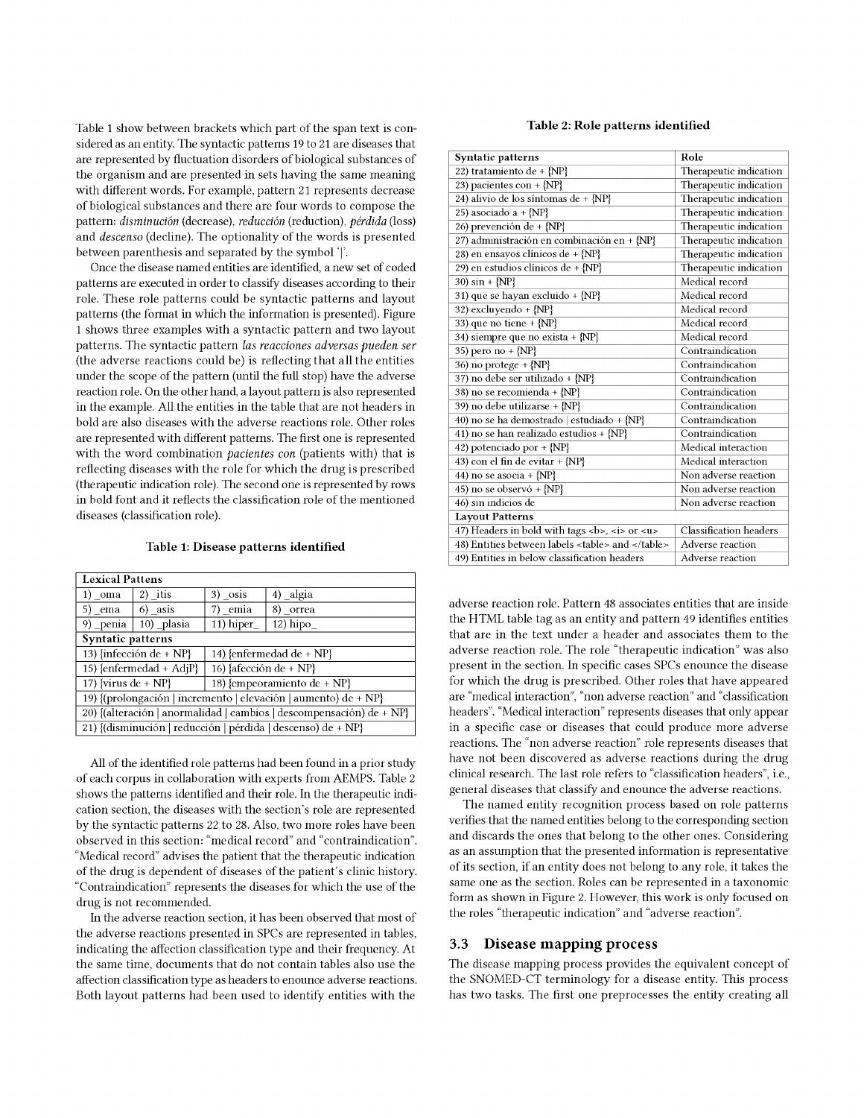Table 1 show between brackets which part of the span text is considered as an entity. The syntactic patterns 19 to 21 are diseases that are represented by fuctuation disorders of biological substances of the organism and are presented in sets having the same meaning with diferent words. For example, pattern 21 represents decrease of biological substances and there are four words to compose the pattern: disminución (decrease), reducción (reduction), pérdida (loss) and descenso (decline). The optionality of the words is presented between parenthesis and separated by the symbol '|'.

Once the disease named entities are identifed, a new set of coded patterns are executed in order to classify diseases according to their role. These role patterns could be syntactic patterns and layout patterns (the format in which the information is presented). Figure 1 shows three examples with a syntactic pattern and two layout patterns. The syntactic pattern las reacciones adversas pueden ser (the adverse reactions could be) is refecting that all the entities under the scope of the pattern (until the full stop) have the adverse reaction role. On the other hand, a layout pattern is also represented in the example. All the entities in the table that are not headers in bold are also diseases with the adverse reactions role. Other roles are represented with different patterns. The first one is represented with the word combination *pacientes con* (patients with) that is refecting diseases with the role for which the drug is prescribed (therapeutic indication role). The second one is represented by rows in bold font and it refects the classifcation role of the mentioned diseases (classifcation role).

Table 1: Disease patterns identifed

| <b>Lexical Pattens</b>                                               |                                                           |           |            |  |
|----------------------------------------------------------------------|-----------------------------------------------------------|-----------|------------|--|
| 1) oma                                                               | $2)$ itis                                                 | 3) osis   | 4) algia   |  |
| 5) ema                                                               | 6) asis                                                   | 7) emia   | 8) orrea   |  |
| 9) penia                                                             | 10) plasia                                                | 11) hiper | $12)$ hipo |  |
| Syntatic patterns                                                    |                                                           |           |            |  |
|                                                                      | 13) {infección $de + NP$ }<br>14) {enfermedad $de + NP$ } |           |            |  |
| 16) {afección de + NP}<br>15) {enfermedad + AdjP}                    |                                                           |           |            |  |
| 17) {virus $de + NP$ }<br>18) {empeoramiento $de + NP$ }             |                                                           |           |            |  |
| 19) {(prolongación   incremento   elevación   aumento) de + NP}      |                                                           |           |            |  |
| 20) {(alteración   anormalidad   cambios   descompensación) de + NP} |                                                           |           |            |  |
| 21) {(disminución   reducción   pérdida   descenso) de + NP}         |                                                           |           |            |  |

All of the identifed role patterns had been found in a prior study of each corpus in collaboration with experts from AEMPS. Table 2 shows the patterns identifed and their role. In the therapeutic indication section, the diseases with the section's role are represented by the syntactic patterns 22 to 28. Also, two more roles have been observed in this section: "medical record" and "contraindication". "Medical record" advises the patient that the therapeutic indication of the drug is dependent of diseases of the patient's clinic history. "Contraindication" represents the diseases for which the use of the drug is not recommended.

In the adverse reaction section, it has been observed that most of the adverse reactions presented in SPCs are represented in tables, indicating the afection classifcation type and their frequency. At the same time, documents that do not contain tables also use the afection classifcation type as headers to enounce adverse reactions. Both layout patterns had been used to identify entities with the

#### Table 2: Role patterns identifed

| Syntatic patterns                                         | Role                          |
|-----------------------------------------------------------|-------------------------------|
| 22) tratamiento de + {NP}                                 | Therapeutic indication        |
| 23) pacientes con + ${NP}$                                | Therapeutic indication        |
| 24) alivio de los síntomas de + {NP}                      | Therapeutic indication        |
| 25) asociado a + $\{NP\}$                                 | Therapeutic indication        |
| 26) prevención de + {NP}                                  | Therapeutic indication        |
| 27) administración en combinación en + {NP}               | Therapeutic indication        |
| 28) en ensayos clínicos de + {NP}                         | Therapeutic indication        |
| 29) en estudios clínicos de + {NP}                        | Therapeutic indication        |
| 30) $sin + {NP}$                                          | Medical record                |
| 31) que se hayan excluido + {NP}                          | Medical record                |
| 32) excluyendo + {NP}                                     | Medical record                |
| 33) que no tiene + ${NP}$                                 | Medical record                |
| 34) siempre que no exista + {NP}                          | Medical record                |
| 35) pero no + $\{NP\}$                                    | Contraindication              |
| 36) no protege $+$ {NP}                                   | Contraindication              |
| 37) no debe ser utilizado + {NP}                          | Contraindication              |
| 38) no se recomienda + {NP}                               | Contraindication              |
| 39) no debe utilizarse + {NP}                             | Contraindication              |
| 40) no se ha demostrado   estudiado + {NP}                | Contraindication              |
| 41) no se han realizado estudios + {NP}                   | Contraindication              |
| 42) potenciado por + {NP}                                 | Medical interaction           |
| 43) con el fin de evitar + {NP}                           | Medical interaction           |
| 44) no se asocia + $\{NP\}$                               | Non adverse reaction          |
| 45) no se observó + {NP}                                  | Non adverse reaction          |
| 46) sin indicios de                                       | Non adverse reaction          |
| <b>Layout Patterns</b>                                    |                               |
| 47) Headers in bold with tags <b>, <i> or <u></u></i></b> | <b>Classification</b> headers |
| 48) Entities between labels <table> and </table>          | Adverse reaction              |
| 49) Entities in below classification headers              | Adverse reaction              |

adverse reaction role. Pattern 48 associates entities that are inside the HTML table tag as an entity and pattern 49 identifes entities that are in the text under a header and associates them to the adverse reaction role. The role "therapeutic indication" was also present in the section. In specifc cases SPCs enounce the disease for which the drug is prescribed. Other roles that have appeared are "medical interaction", "non adverse reaction" and "classifcation headers". "Medical interaction" represents diseases that only appear in a specifc case or diseases that could produce more adverse reactions. The "non adverse reaction" role represents diseases that have not been discovered as adverse reactions during the drug clinical research. The last role refers to "classifcation headers", i.e., general diseases that classify and enounce the adverse reactions.

The named entity recognition process based on role patterns verifes that the named entities belong to the corresponding section and discards the ones that belong to the other ones. Considering as an assumption that the presented information is representative of its section, if an entity does not belong to any role, it takes the same one as the section. Roles can be represented in a taxonomic form as shown in Figure 2. However, this work is only focused on the roles "therapeutic indication" and "adverse reaction".

# 3.3 Disease mapping process

The disease mapping process provides the equivalent concept of the SNOMED-CT terminology for a disease entity. This process has two tasks. The frst one preprocesses the entity creating all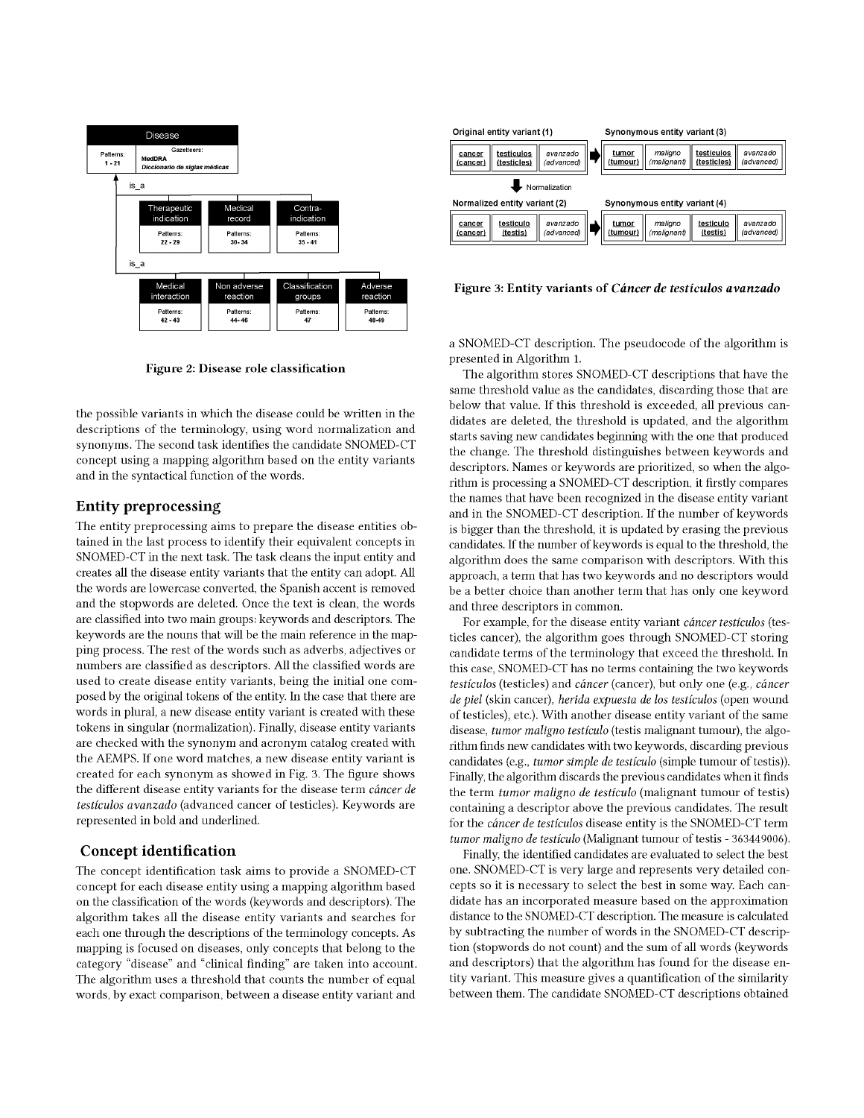

**Figure 2: Disease role classification** 

the possible variants in which the disease could be written in the descriptions of the terminology, using word normalization and synonyms. The second task identifies the candidate SNOMED-CT concept using a mapping algorithm based on the entity variants and in the syntactical function of the words.

# Entity preprocessing

The entity preprocessing aims to prepare the disease entities obtained in the last process to identify their equivalent concepts in SNOMED-CT in the next task. The task cleans the input entity and creates all the disease entity variants that the entity can adopt. All the words are lowercase converted, the Spanish accent is removed and the stopwords are deleted. Once the text is clean, the words are classified into two main groups: keywords and descriptors. The keywords are the nouns that will be the main reference in the mapping process. The rest of the words such as adverbs, adjectives or numbers are classified as descriptors. All the classified words are used to create disease entity variants, being the initial one composed by the original tokens of the entity. In the case that there are words in plural, a new disease entity variant is created with these tokens in singular (normalization). Finally, disease entity variants are checked with the synonym and acronym catalog created with the AEMPS. If one word matches, a new disease entity variant is created for each synonym as showed in Fig. 3. The figure shows the different disease entity variants for the disease term *cancer de testiculos avanzado* (advanced cancer of testicles). Keywords are represented in bold and underlined.

# Concept identification

The concept identification task aims to provide a SNOMED-CT concept for each disease entity using a mapping algorithm based on the classification of the words (keywords and descriptors). The algorithm takes all the disease entity variants and searches for each one through the descriptions of the terminology concepts. As mapping is focused on diseases, only concepts that belong to the category "disease" and "clinical finding" are taken into account. The algorithm uses a threshold that counts the number of equal words, by exact comparison, between a disease entity variant and



**Figure 3: Entity variants of** *Cancer de testiculos avanzado* 

a SNOMED-CT description. The pseudocode of the algorithm is presented in Algorithm 1.

The algorithm stores SNOMED-CT descriptions that have the same threshold value as the candidates, discarding those that are below that value. If this threshold is exceeded, all previous candidates are deleted, the threshold is updated, and the algorithm starts saving new candidates beginning with the one that produced the change. The threshold distinguishes between keywords and descriptors. Names or keywords are prioritized, so when the algorithm is processing a SNOMED-CT description, it firstly compares the names that have been recognized in the disease entity variant and in the SNOMED-CT description. If the number of keywords is bigger than the threshold, it is updated by erasing the previous candidates. If the number of keywords is equal to the threshold, the algorithm does the same comparison with descriptors. With this approach, a term that has two keywords and no descriptors would be a better choice than another term that has only one keyword and three descriptors in common.

For example, for the disease entity variant *cáncer testículos* (testicles cancer), the algorithm goes through SNOMED-CT storing candidate terms of the terminology that exceed the threshold. In this case, SNOMED-CT has no terms containing the two keywords *testiculos* (testicles) and *cancer* (cancer), but only one (e.g., *cancer de piel* (skin cancer), *herida expuesta de los testiculos* (open wound of testicles), etc.). With another disease entity variant of the same disease, *tumor maligno testiculo* (testis malignant tumour), the algorithm finds new candidates with two keywords, discarding previous candidates (e.g., *tumor simple de testiculo* (simple tumour of testis)). Finally, the algorithm discards the previous candidates when it finds the term *tumor maligno de testiculo* (malignant tumour of testis) containing a descriptor above the previous candidates. The result for the *cancer de testiculos* disease entity is the SNOMED-CT term *tumor maligno de testiculo* (Malignant tumour of testis - 363449006).

Finally, the identified candidates are evaluated to select the best one. SNOMED-CT is very large and represents very detailed concepts so it is necessary to select the best in some way. Each candidate has an incorporated measure based on the approximation distance to the SNOMED-CT description. The measure is calculated by subtracting the number of words in the SNOMED-CT description (stopwords do not count) and the sum of all words (keywords and descriptors) that the algorithm has found for the disease entity variant. This measure gives a quantification of the similarity between them. The candidate SNOMED-CT descriptions obtained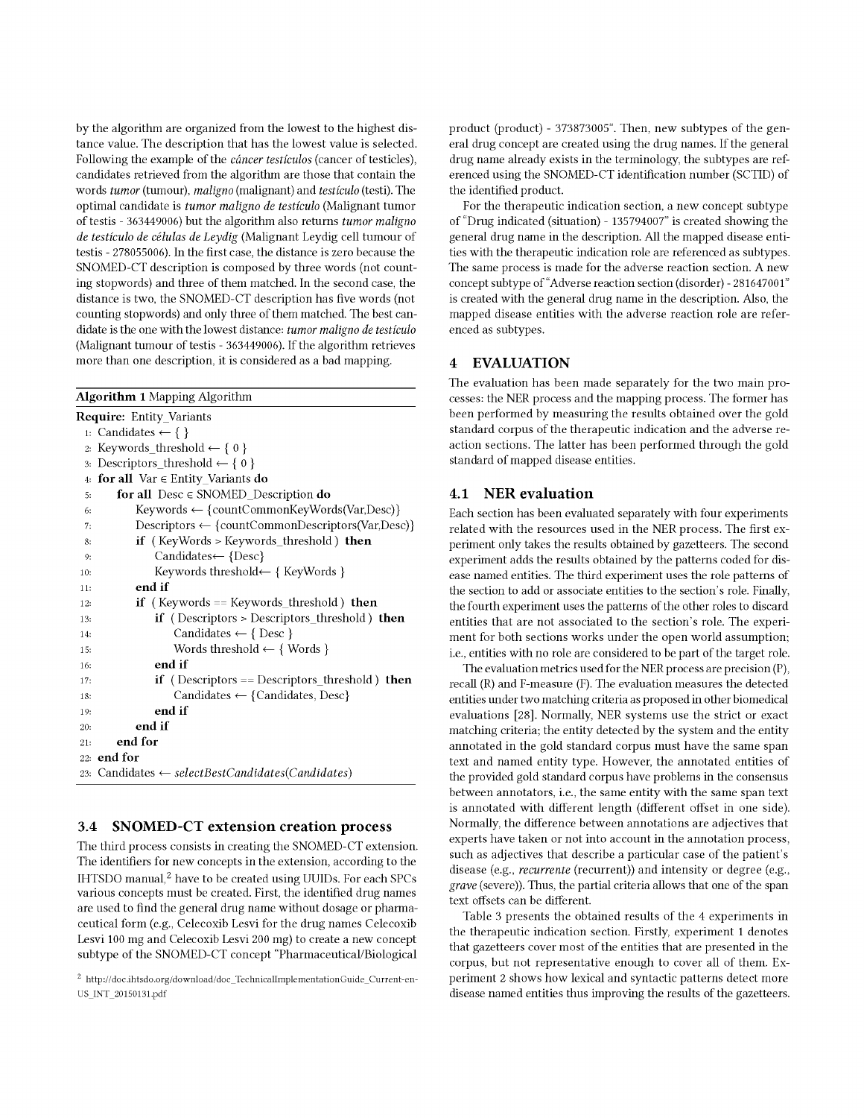by the algorithm are organized from the lowest to the highest distance value. The description that has the lowest value is selected. Following the example of the cáncer testículos (cancer of testicles), candidates retrieved from the algorithm are those that contain the words tumor (tumour), maligno (malignant) and testículo (testi). The optimal candidate is tumor maligno de testículo (Malignant tumor of testis - 363449006) but the algorithm also returns tumor maligno de testículo de células de Leydig (Malignant Leydig cell tumour of testis - 278055006). In the frst case, the distance is zero because the SNOMED-CT description is composed by three words (not counting stopwords) and three of them matched. In the second case, the distance is two, the SNOMED-CT description has five words (not counting stopwords) and only three of them matched. The best candidate is the one with the lowest distance: tumor maligno de testículo (Malignant tumour of testis - 363449006). If the algorithm retrieves more than one description, it is considered as a bad mapping.

|        | <b>Algorithm 1</b> Mapping Algorithm                         |
|--------|--------------------------------------------------------------|
|        | <b>Require:</b> Entity Variants                              |
|        | 1: Candidates ← { }                                          |
| 2:     | Keywords threshold $\leftarrow \{ 0 \}$                      |
| 3:     | Descriptors_threshold $\leftarrow \{ 0 \}$                   |
| 4:     | for all $Var \in Entity\_Variables$ do                       |
| 5:     | for all $\text{Desc} \in \text{SNOWLED\_Description}$ do     |
| 6:     | $Keywords \leftarrow \{countCommonKeyWords(Var,Desc)\}\$     |
| 7:     | Descriptors $\leftarrow$ {countCommonDescriptors(Var,Desc)}  |
| 8:     | if (KeyWords > Keywords_threshold) then                      |
| 9.     | Candidates← {Desc}                                           |
| 10:    | Keywords threshold $\leftarrow \{$ KeyWords $\}$             |
| 11:    | end if                                                       |
| 12:    | <b>if</b> (Keywords == Keywords_threshold) <b>then</b>       |
| 13.    | <b>if</b> (Descriptors > Descriptors threshold) <b>then</b>  |
| 14:    | Candidates $\leftarrow \{$ Desc $\}$                         |
| 15:    | Words threshold $\leftarrow \{$ Words $\}$                   |
| 16:    | end if                                                       |
| 17:    | <b>if</b> (Descriptors == Descriptors_threshold) <b>then</b> |
| 18.    | Candidates $\leftarrow$ {Candidates, Desc}                   |
| 19:    | end if                                                       |
| 20:    | end if                                                       |
| 21:    | end for                                                      |
| 22.    | end for                                                      |
| $23 -$ | Candidates $\leftarrow selectBestcandidates(Candidates)$     |

# 3.4 SNOMED-CT extension creation process

The third process consists in creating the SNOMED-CT extension. The identifers for new concepts in the extension, according to the IHTSDO manual.<sup>2</sup> have to be created using UUIDs. For each SPCs various concepts must be created. First, the identifed drug names are used to fnd the general drug name without dosage or pharmaceutical form (e.g., Celecoxib Lesvi for the drug names Celecoxib Lesvi 100 mg and Celecoxib Lesvi 200 mg) to create a new concept subtype of the SNOMED-CT concept "Pharmaceutical/Biological

product (product) - 373873005". Then, new subtypes of the general drug concept are created using the drug names. If the general drug name already exists in the terminology, the subtypes are referenced using the SNOMED-CT identifcation number (SCTID) of the identifed product.

For the therapeutic indication section, a new concept subtype of "Drug indicated (situation) - 135794007" is created showing the general drug name in the description. All the mapped disease entities with the therapeutic indication role are referenced as subtypes. The same process is made for the adverse reaction section. A new concept subtype of "Adverse reaction section (disorder) - 281647001" is created with the general drug name in the description. Also, the mapped disease entities with the adverse reaction role are referenced as subtypes.

## 4 EVALUATION

The evaluation has been made separately for the two main processes: the NER process and the mapping process. The former has been performed by measuring the results obtained over the gold standard corpus of the therapeutic indication and the adverse reaction sections. The latter has been performed through the gold standard of mapped disease entities.

# 4.1 NER evaluation

Each section has been evaluated separately with four experiments related with the resources used in the NER process. The frst experiment only takes the results obtained by gazetteers. The second experiment adds the results obtained by the patterns coded for disease named entities. The third experiment uses the role patterns of the section to add or associate entities to the section's role. Finally, the fourth experiment uses the patterns of the other roles to discard entities that are not associated to the section's role. The experiment for both sections works under the open world assumption; i.e., entities with no role are considered to be part of the target role.

The evaluation metrics used for the NER process are precision (P), recall (R) and F-measure (F). The evaluation measures the detected entities under two matching criteria as proposed in other biomedical evaluations [28]. Normally, NER systems use the strict or exact matching criteria; the entity detected by the system and the entity annotated in the gold standard corpus must have the same span text and named entity type. However, the annotated entities of the provided gold standard corpus have problems in the consensus between annotators, i.e., the same entity with the same span text is annotated with different length (different offset in one side). Normally, the diference between annotations are adjectives that experts have taken or not into account in the annotation process, such as adjectives that describe a particular case of the patient's disease (e.g., recurrente (recurrent)) and intensity or degree (e.g., grave (severe)). Thus, the partial criteria allows that one of the span text offsets can be different.

Table 3 presents the obtained results of the 4 experiments in the therapeutic indication section. Firstly, experiment 1 denotes that gazetteers cover most of the entities that are presented in the corpus, but not representative enough to cover all of them. Experiment 2 shows how lexical and syntactic patterns detect more disease named entities thus improving the results of the gazetteers.

<sup>2</sup> http://doc.ihtsdo.org/download/doc\_TechnicalImplementationGuide\_Current-en-US\_INT\_20150131.pdf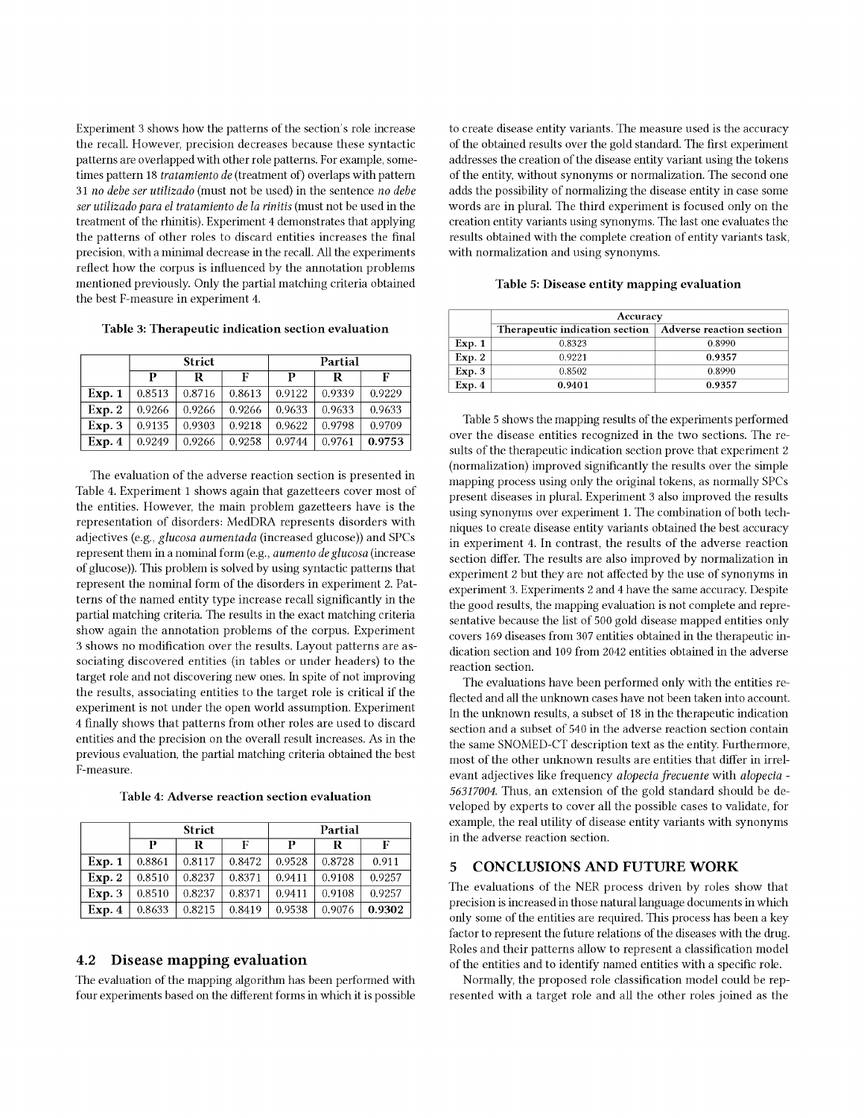Experiment 3 shows how the patterns of the section's role increase the recall. However, precision decreases because these syntactic patterns are overlapped with other role patterns. For example, sometimes pattern 18 tratamiento de (treatment of) overlaps with pattern 31 no debe ser utilizado (must not be used) in the sentence no debe ser utilizado para el tratamiento de la rinitis (must not be used in the treatment of the rhinitis). Experiment 4 demonstrates that applying the patterns of other roles to discard entities increases the fnal precision, with a minimal decrease in the recall. All the experiments refect how the corpus is infuenced by the annotation problems mentioned previously. Only the partial matching criteria obtained the best F-measure in experiment 4.

Table 3: Therapeutic indication section evaluation

|        | <b>Strict</b> |        |        | Partial |        |        |
|--------|---------------|--------|--------|---------|--------|--------|
|        | р             | R      | F      | р       | R      | F      |
| Exp. 1 | 0.8513        | 0.8716 | 0.8613 | 0.9122  | 0.9339 | 0.9229 |
| Exp. 2 | 0.9266        | 0.9266 | 0.9266 | 0.9633  | 0.9633 | 0.9633 |
| Exp.3  | 0.9135        | 0.9303 | 0.9218 | 0.9622  | 0.9798 | 0.9709 |
| Exp. 4 | 0.9249        | 0.9266 | 0.9258 | 0.9744  | 0.9761 | 0.9753 |

The evaluation of the adverse reaction section is presented in Table 4. Experiment 1 shows again that gazetteers cover most of the entities. However, the main problem gazetteers have is the representation of disorders: MedDRA represents disorders with adjectives (e.g., glucosa aumentada (increased glucose)) and SPCs represent them in a nominal form (e.g., aumento de glucosa (increase of glucose)). This problem is solved by using syntactic patterns that represent the nominal form of the disorders in experiment 2. Patterns of the named entity type increase recall signifcantly in the partial matching criteria. The results in the exact matching criteria show again the annotation problems of the corpus. Experiment 3 shows no modifcation over the results. Layout patterns are associating discovered entities (in tables or under headers) to the target role and not discovering new ones. In spite of not improving the results, associating entities to the target role is critical if the experiment is not under the open world assumption. Experiment 4 fnally shows that patterns from other roles are used to discard entities and the precision on the overall result increases. As in the previous evaluation, the partial matching criteria obtained the best F-measure.

| Table 4: Adverse reaction section evaluation |  |
|----------------------------------------------|--|
|----------------------------------------------|--|

|        | <b>Strict</b> |        |        | Partial |        |        |
|--------|---------------|--------|--------|---------|--------|--------|
|        | р             | R      | F      | Р       | R      | F      |
| Exp. 1 | 0.8861        | 0.8117 | 0.8472 | 0.9528  | 0.8728 | 0.911  |
| Exp. 2 | 0.8510        | 0.8237 | 0.8371 | 0.9411  | 0.9108 | 0.9257 |
| Exp.3  | 0.8510        | 0.8237 | 0.8371 | 0.9411  | 0.9108 | 0.9257 |
| Exp.4  | 0.8633        | 0.8215 | 0.8419 | 0.9538  | 0.9076 | 0.9302 |

# 4.2 Disease mapping evaluation

The evaluation of the mapping algorithm has been performed with four experiments based on the diferent forms in which it is possible

to create disease entity variants. The measure used is the accuracy of the obtained results over the gold standard. The frst experiment addresses the creation of the disease entity variant using the tokens of the entity, without synonyms or normalization. The second one adds the possibility of normalizing the disease entity in case some words are in plural. The third experiment is focused only on the creation entity variants using synonyms. The last one evaluates the results obtained with the complete creation of entity variants task, with normalization and using synonyms.

| Table 5: Disease entity mapping evaluation |  |  |  |  |  |
|--------------------------------------------|--|--|--|--|--|
|--------------------------------------------|--|--|--|--|--|

|        | Accuracy                       |                          |  |
|--------|--------------------------------|--------------------------|--|
|        | Therapeutic indication section | Adverse reaction section |  |
| Exp. 1 | 0.8323                         | 0.8990                   |  |
| Exp. 2 | 0.9221                         | 0.9357                   |  |
| Exp. 3 | 0.8502                         | 0.8990                   |  |
| Exp.4  | 0.9401                         | 0.9357                   |  |

Table 5 shows the mapping results of the experiments performed over the disease entities recognized in the two sections. The results of the therapeutic indication section prove that experiment 2 (normalization) improved signifcantly the results over the simple mapping process using only the original tokens, as normally SPCs present diseases in plural. Experiment 3 also improved the results using synonyms over experiment 1. The combination of both techniques to create disease entity variants obtained the best accuracy in experiment 4. In contrast, the results of the adverse reaction section difer. The results are also improved by normalization in experiment 2 but they are not afected by the use of synonyms in experiment 3. Experiments 2 and 4 have the same accuracy. Despite the good results, the mapping evaluation is not complete and representative because the list of 500 gold disease mapped entities only covers 169 diseases from 307 entities obtained in the therapeutic indication section and 109 from 2042 entities obtained in the adverse reaction section.

The evaluations have been performed only with the entities refected and all the unknown cases have not been taken into account. In the unknown results, a subset of 18 in the therapeutic indication section and a subset of 540 in the adverse reaction section contain the same SNOMED-CT description text as the entity. Furthermore, most of the other unknown results are entities that difer in irrelevant adjectives like frequency alopecia frecuente with alopecia - 56317004. Thus, an extension of the gold standard should be developed by experts to cover all the possible cases to validate, for example, the real utility of disease entity variants with synonyms in the adverse reaction section.

# 5 CONCLUSIONS AND FUTURE WORK

The evaluations of the NER process driven by roles show that precision is increased in those natural language documents in which only some of the entities are required. This process has been a key factor to represent the future relations of the diseases with the drug. Roles and their patterns allow to represent a classifcation model of the entities and to identify named entities with a specifc role.

Normally, the proposed role classifcation model could be represented with a target role and all the other roles joined as the